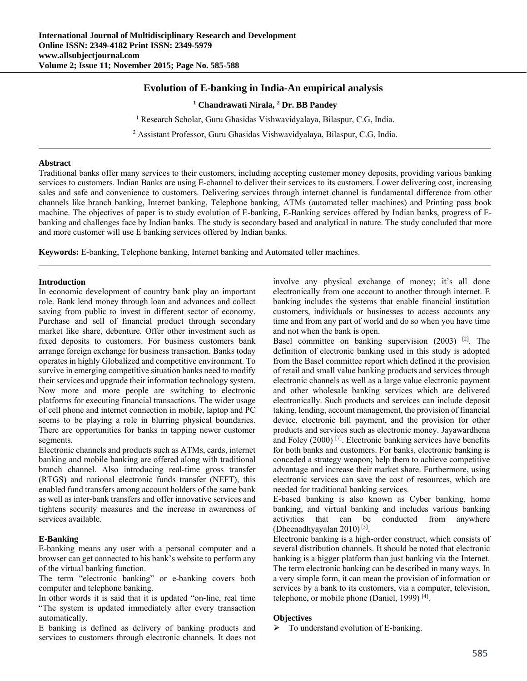# **Evolution of E-banking in India-An empirical analysis**

<sup>1</sup> Chandrawati Nirala, <sup>2</sup> Dr. BB Pandey

<sup>1</sup> Research Scholar, Guru Ghasidas Vishwavidyalaya, Bilaspur, C.G, India.

<sup>2</sup> Assistant Professor, Guru Ghasidas Vishwavidyalaya, Bilaspur, C.G, India.

#### **Abstract**

Traditional banks offer many services to their customers, including accepting customer money deposits, providing various banking services to customers. Indian Banks are using E-channel to deliver their services to its customers. Lower delivering cost, increasing sales and safe and convenience to customers. Delivering services through internet channel is fundamental difference from other channels like branch banking, Internet banking, Telephone banking, ATMs (automated teller machines) and Printing pass book machine. The objectives of paper is to study evolution of E-banking, E-Banking services offered by Indian banks, progress of Ebanking and challenges face by Indian banks. The study is secondary based and analytical in nature. The study concluded that more and more customer will use E banking services offered by Indian banks.

**Keywords:** E-banking, Telephone banking, Internet banking and Automated teller machines.

### **Introduction**

In economic development of country bank play an important role. Bank lend money through loan and advances and collect saving from public to invest in different sector of economy. Purchase and sell of financial product through secondary market like share, debenture. Offer other investment such as fixed deposits to customers. For business customers bank arrange foreign exchange for business transaction. Banks today operates in highly Globalized and competitive environment. To survive in emerging competitive situation banks need to modify their services and upgrade their information technology system. Now more and more people are switching to electronic platforms for executing financial transactions. The wider usage of cell phone and internet connection in mobile, laptop and PC seems to be playing a role in blurring physical boundaries. There are opportunities for banks in tapping newer customer segments.

Electronic channels and products such as ATMs, cards, internet banking and mobile banking are offered along with traditional branch channel. Also introducing real-time gross transfer (RTGS) and national electronic funds transfer (NEFT), this enabled fund transfers among account holders of the same bank as well as inter-bank transfers and offer innovative services and tightens security measures and the increase in awareness of services available.

### **E-Banking**

E-banking means any user with a personal computer and a browser can get connected to his bank's website to perform any of the virtual banking function.

The term "electronic banking" or e-banking covers both computer and telephone banking.

In other words it is said that it is updated "on-line, real time "The system is updated immediately after every transaction automatically.

E banking is defined as delivery of banking products and services to customers through electronic channels. It does not

involve any physical exchange of money; it's all done electronically from one account to another through internet. E banking includes the systems that enable financial institution customers, individuals or businesses to access accounts any time and from any part of world and do so when you have time and not when the bank is open.

Basel committee on banking supervision  $(2003)$ <sup>[2]</sup>. The definition of electronic banking used in this study is adopted from the Basel committee report which defined it the provision of retail and small value banking products and services through electronic channels as well as a large value electronic payment and other wholesale banking services which are delivered electronically. Such products and services can include deposit taking, lending, account management, the provision of financial device, electronic bill payment, and the provision for other products and services such as electronic money. Jayawardhena and Foley (2000) [7]. Electronic banking services have benefits for both banks and customers. For banks, electronic banking is conceded a strategy weapon; help them to achieve competitive advantage and increase their market share. Furthermore, using electronic services can save the cost of resources, which are needed for traditional banking services.

E-based banking is also known as Cyber banking, home banking, and virtual banking and includes various banking activities that can be conducted from anywhere (Dheenadhyayalan 2010) [5].

Electronic banking is a high-order construct, which consists of several distribution channels. It should be noted that electronic banking is a bigger platform than just banking via the Internet. The term electronic banking can be described in many ways. In a very simple form, it can mean the provision of information or services by a bank to its customers, via a computer, television, telephone, or mobile phone (Daniel, 1999) [4].

### **Objectives**

 $\triangleright$  To understand evolution of E-banking.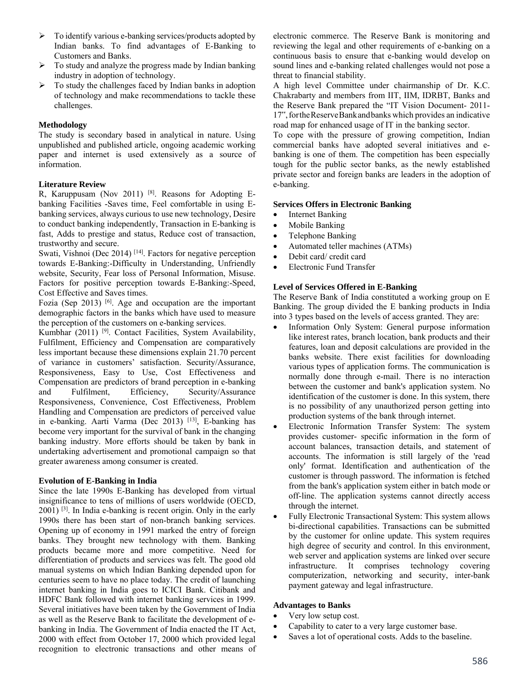- $\triangleright$  To identify various e-banking services/products adopted by Indian banks. To find advantages of E-Banking to Customers and Banks.
- $\triangleright$  To study and analyze the progress made by Indian banking industry in adoption of technology.
- $\triangleright$  To study the challenges faced by Indian banks in adoption of technology and make recommendations to tackle these challenges.

## **Methodology**

The study is secondary based in analytical in nature. Using unpublished and published article, ongoing academic working paper and internet is used extensively as a source of information.

## **Literature Review**

R, Karuppusam (Nov 2011) [8]. Reasons for Adopting Ebanking Facilities -Saves time, Feel comfortable in using Ebanking services, always curious to use new technology, Desire to conduct banking independently, Transaction in E-banking is fast, Adds to prestige and status, Reduce cost of transaction, trustworthy and secure.

Swati, Vishnoi (Dec 2014)<sup>[14]</sup>. Factors for negative perception towards E-Banking:-Difficulty in Understanding, Unfriendly website, Security, Fear loss of Personal Information, Misuse. Factors for positive perception towards E-Banking:-Speed, Cost Effective and Saves times.

Fozia (Sep 2013) <sup>[6]</sup>. Age and occupation are the important demographic factors in the banks which have used to measure the perception of the customers on e-banking services.

Kumbhar  $(2011)$  [9]. Contact Facilities, System Availability, Fulfilment, Efficiency and Compensation are comparatively less important because these dimensions explain 21.70 percent of variance in customers' satisfaction. Security/Assurance, Responsiveness, Easy to Use, Cost Effectiveness and Compensation are predictors of brand perception in e-banking and Fulfilment, Efficiency, Security/Assurance Responsiveness, Convenience, Cost Effectiveness, Problem Handling and Compensation are predictors of perceived value in e-banking. Aarti Varma (Dec 2013) [13], E-banking has become very important for the survival of bank in the changing banking industry. More efforts should be taken by bank in undertaking advertisement and promotional campaign so that greater awareness among consumer is created.

### **Evolution of E-Banking in India**

Since the late 1990s E-Banking has developed from virtual insignificance to tens of millions of users worldwide (OECD, 2001) [3]. In India e-banking is recent origin. Only in the early 1990s there has been start of non-branch banking services. Opening up of economy in 1991 marked the entry of foreign banks. They brought new technology with them. Banking products became more and more competitive. Need for differentiation of products and services was felt. The good old manual systems on which Indian Banking depended upon for centuries seem to have no place today. The credit of launching internet banking in India goes to ICICI Bank. Citibank and HDFC Bank followed with internet banking services in 1999. Several initiatives have been taken by the Government of India as well as the Reserve Bank to facilitate the development of ebanking in India. The Government of India enacted the IT Act, 2000 with effect from October 17, 2000 which provided legal recognition to electronic transactions and other means of

electronic commerce. The Reserve Bank is monitoring and reviewing the legal and other requirements of e-banking on a continuous basis to ensure that e-banking would develop on sound lines and e-banking related challenges would not pose a threat to financial stability.

A high level Committee under chairmanship of Dr. K.C. Chakrabarty and members from IIT, IIM, IDRBT, Banks and the Reserve Bank prepared the "IT Vision Document- 2011- 17",fortheReserveBankandbanks which provides an indicative road map for enhanced usage of IT in the banking sector.

To cope with the pressure of growing competition, Indian commercial banks have adopted several initiatives and ebanking is one of them. The competition has been especially tough for the public sector banks, as the newly established private sector and foreign banks are leaders in the adoption of e-banking.

### **Services Offers in Electronic Banking**

- Internet Banking
- Mobile Banking
- Telephone Banking
- Automated teller machines (ATMs)
- Debit card/ credit card
- Electronic Fund Transfer

## **Level of Services Offered in E-Banking**

The Reserve Bank of India constituted a working group on E Banking. The group divided the E banking products in India into 3 types based on the levels of access granted. They are:

- Information Only System: General purpose information like interest rates, branch location, bank products and their features, loan and deposit calculations are provided in the banks website. There exist facilities for downloading various types of application forms. The communication is normally done through e-mail. There is no interaction between the customer and bank's application system. No identification of the customer is done. In this system, there is no possibility of any unauthorized person getting into production systems of the bank through internet.
- Electronic Information Transfer System: The system provides customer- specific information in the form of account balances, transaction details, and statement of accounts. The information is still largely of the 'read only' format. Identification and authentication of the customer is through password. The information is fetched from the bank's application system either in batch mode or off-line. The application systems cannot directly access through the internet.
- Fully Electronic Transactional System: This system allows bi-directional capabilities. Transactions can be submitted by the customer for online update. This system requires high degree of security and control. In this environment, web server and application systems are linked over secure infrastructure. It comprises technology covering computerization, networking and security, inter-bank payment gateway and legal infrastructure.

## **Advantages to Banks**

- Very low setup cost.
- Capability to cater to a very large customer base.
- Saves a lot of operational costs. Adds to the baseline.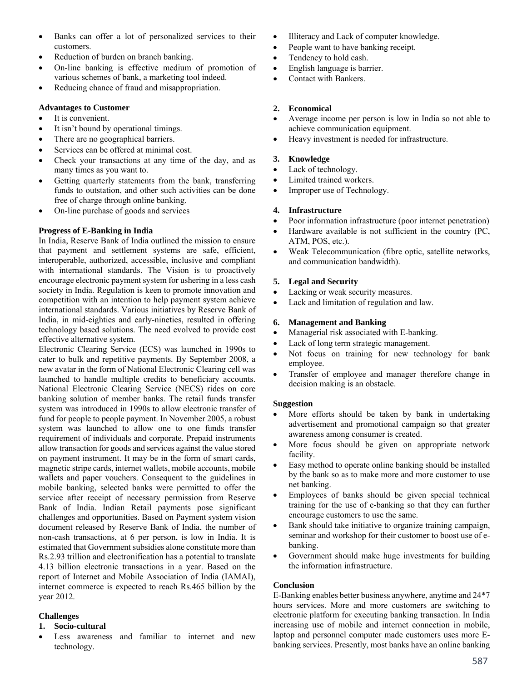- Banks can offer a lot of personalized services to their customers.
- Reduction of burden on branch banking.
- On-line banking is effective medium of promotion of various schemes of bank, a marketing tool indeed.
- Reducing chance of fraud and misappropriation.

## **Advantages to Customer**

- It is convenient.
- It isn't bound by operational timings.
- There are no geographical barriers.
- Services can be offered at minimal cost.
- Check your transactions at any time of the day, and as many times as you want to.
- Getting quarterly statements from the bank, transferring funds to outstation, and other such activities can be done free of charge through online banking.
- On-line purchase of goods and services

## **Progress of E-Banking in India**

In India, Reserve Bank of India outlined the mission to ensure that payment and settlement systems are safe, efficient, interoperable, authorized, accessible, inclusive and compliant with international standards. The Vision is to proactively encourage electronic payment system for ushering in a less cash society in India. Regulation is keen to promote innovation and competition with an intention to help payment system achieve international standards. Various initiatives by Reserve Bank of India, in mid-eighties and early-nineties, resulted in offering technology based solutions. The need evolved to provide cost effective alternative system.

Electronic Clearing Service (ECS) was launched in 1990s to cater to bulk and repetitive payments. By September 2008, a new avatar in the form of National Electronic Clearing cell was launched to handle multiple credits to beneficiary accounts. National Electronic Clearing Service (NECS) rides on core banking solution of member banks. The retail funds transfer system was introduced in 1990s to allow electronic transfer of fund for people to people payment. In November 2005, a robust system was launched to allow one to one funds transfer requirement of individuals and corporate. Prepaid instruments allow transaction for goods and services against the value stored on payment instrument. It may be in the form of smart cards, magnetic stripe cards, internet wallets, mobile accounts, mobile wallets and paper vouchers. Consequent to the guidelines in mobile banking, selected banks were permitted to offer the service after receipt of necessary permission from Reserve Bank of India. Indian Retail payments pose significant challenges and opportunities. Based on Payment system vision document released by Reserve Bank of India, the number of non-cash transactions, at 6 per person, is low in India. It is estimated that Government subsidies alone constitute more than Rs.2.93 trillion and electronification has a potential to translate 4.13 billion electronic transactions in a year. Based on the report of Internet and Mobile Association of India (IAMAI), internet commerce is expected to reach Rs.465 billion by the year 2012.

## **Challenges**

### **1. Socio-cultural**

 Less awareness and familiar to internet and new technology.

- Illiteracy and Lack of computer knowledge.
- People want to have banking receipt.
- Tendency to hold cash.
- English language is barrier.
- Contact with Bankers.

## **2. Economical**

- Average income per person is low in India so not able to achieve communication equipment.
- Heavy investment is needed for infrastructure.

## **3. Knowledge**

- Lack of technology.
- Limited trained workers.
- Improper use of Technology.

## **4. Infrastructure**

- Poor information infrastructure (poor internet penetration)
- Hardware available is not sufficient in the country (PC, ATM, POS, etc.).
- Weak Telecommunication (fibre optic, satellite networks, and communication bandwidth).

## **5. Legal and Security**

- Lacking or weak security measures.
- Lack and limitation of regulation and law.

## **6. Management and Banking**

- Managerial risk associated with E-banking.
- Lack of long term strategic management.
- Not focus on training for new technology for bank employee.
- Transfer of employee and manager therefore change in decision making is an obstacle.

## **Suggestion**

- More efforts should be taken by bank in undertaking advertisement and promotional campaign so that greater awareness among consumer is created.
- More focus should be given on appropriate network facility.
- Easy method to operate online banking should be installed by the bank so as to make more and more customer to use net banking.
- Employees of banks should be given special technical training for the use of e-banking so that they can further encourage customers to use the same.
- Bank should take initiative to organize training campaign, seminar and workshop for their customer to boost use of ebanking.
- Government should make huge investments for building the information infrastructure.

### **Conclusion**

E-Banking enables better business anywhere, anytime and 24\*7 hours services. More and more customers are switching to electronic platform for executing banking transaction. In India increasing use of mobile and internet connection in mobile, laptop and personnel computer made customers uses more Ebanking services. Presently, most banks have an online banking